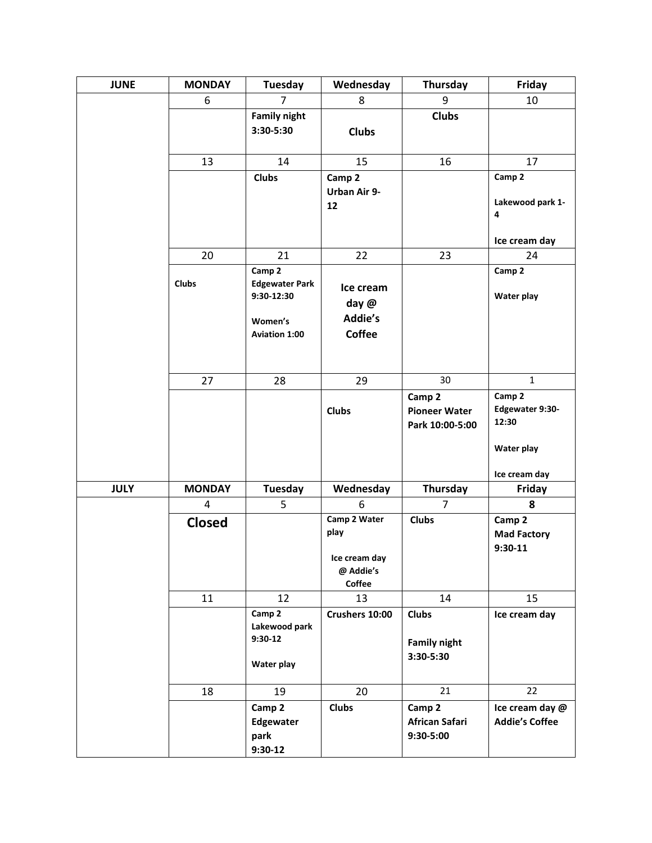| <b>JUNE</b> | <b>MONDAY</b> | <b>Tuesday</b>                                                                   | Wednesday                                                    | Thursday                                          | Friday                                                            |
|-------------|---------------|----------------------------------------------------------------------------------|--------------------------------------------------------------|---------------------------------------------------|-------------------------------------------------------------------|
|             | 6             | $\overline{7}$                                                                   | 8                                                            | 9                                                 | 10                                                                |
|             |               | <b>Family night</b><br>3:30-5:30                                                 | <b>Clubs</b>                                                 | <b>Clubs</b>                                      |                                                                   |
|             | 13            | 14                                                                               | 15                                                           | 16                                                | 17                                                                |
|             |               | <b>Clubs</b>                                                                     | Camp 2<br>Urban Air 9-<br>12                                 |                                                   | Camp 2<br>Lakewood park 1-<br>4                                   |
|             |               |                                                                                  |                                                              |                                                   | Ice cream day                                                     |
|             | 20            | 21                                                                               | 22                                                           | 23                                                | 24                                                                |
|             | <b>Clubs</b>  | Camp 2<br><b>Edgewater Park</b><br>9:30-12:30<br>Women's<br><b>Aviation 1:00</b> | Ice cream<br>day @<br>Addie's<br><b>Coffee</b>               |                                                   | Camp 2<br>Water play                                              |
|             | 27            | 28                                                                               | 29                                                           | 30                                                | $\mathbf{1}$                                                      |
|             |               |                                                                                  | <b>Clubs</b>                                                 | Camp 2<br><b>Pioneer Water</b><br>Park 10:00-5:00 | Camp 2<br>Edgewater 9:30-<br>12:30<br>Water play<br>Ice cream day |
| <b>JULY</b> | <b>MONDAY</b> | <b>Tuesday</b>                                                                   | Wednesday                                                    | Thursday                                          | Friday                                                            |
|             | 4             | 5                                                                                | 6                                                            | $\overline{7}$                                    | 8                                                                 |
|             | <b>Closed</b> |                                                                                  | Camp 2 Water<br>play<br>Ice cream day<br>@ Addie's<br>Coffee | <b>Clubs</b>                                      | Camp 2<br><b>Mad Factory</b><br>$9:30-11$                         |
|             | 11            | 12                                                                               | 13                                                           | 14                                                | 15                                                                |
|             |               | Camp 2<br>Lakewood park<br>$9:30-12$<br>Water play                               | Crushers 10:00                                               | <b>Clubs</b><br><b>Family night</b><br>3:30-5:30  | Ice cream day                                                     |
|             | 18            | 19                                                                               | 20                                                           | 21                                                | 22                                                                |
|             |               | Camp 2<br>Edgewater<br>park<br>$9:30-12$                                         | <b>Clubs</b>                                                 | Camp 2<br>African Safari<br>9:30-5:00             | Ice cream day @<br><b>Addie's Coffee</b>                          |